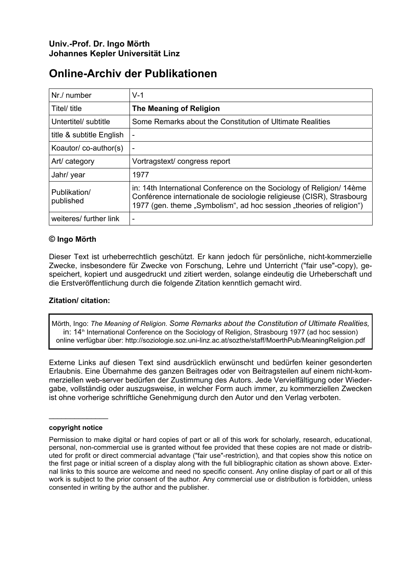# **Online-Archiv der Publikationen**

| Nr./ number               | $V-1$                                                                                                                                                                                                                 |
|---------------------------|-----------------------------------------------------------------------------------------------------------------------------------------------------------------------------------------------------------------------|
| Titel/ title              | The Meaning of Religion                                                                                                                                                                                               |
| Untertitel/ subtitle      | Some Remarks about the Constitution of Ultimate Realities                                                                                                                                                             |
| title & subtitle English  |                                                                                                                                                                                                                       |
| Koautor/co-author(s)      |                                                                                                                                                                                                                       |
| Art/ category             | Vortragstext/congress report                                                                                                                                                                                          |
| Jahr/ year                | 1977                                                                                                                                                                                                                  |
| Publikation/<br>published | in: 14th International Conference on the Sociology of Religion/14ème<br>Conférence internationale de sociologie religieuse (CISR), Strasbourg<br>1977 (gen. theme "Symbolism", ad hoc session "theories of religion") |
| weiteres/ further link    |                                                                                                                                                                                                                       |

# **© Ingo Mörth**

Dieser Text ist urheberrechtlich geschützt. Er kann jedoch für persönliche, nicht-kommerzielle Zwecke, insbesondere für Zwecke von Forschung, Lehre und Unterricht ("fair use"-copy), gespeichert, kopiert und ausgedruckt und zitiert werden, solange eindeutig die Urheberschaft und die Erstveröffentlichung durch die folgende Zitation kenntlich gemacht wird.

#### **Zitation/ citation:**

Mörth, Ingo: *The Meaning of Religion. Some Remarks about the Constitution of Ultimate Realities,*  in: 14<sup>th</sup> International Conference on the Sociology of Religion, Strasbourg 1977 (ad hoc session) online verfügbar über: http://soziologie.soz.uni-linz.ac.at/sozthe/staff/MoerthPub/MeaningReligion.pdf

Externe Links auf diesen Text sind ausdrücklich erwünscht und bedürfen keiner gesonderten Erlaubnis. Eine Übernahme des ganzen Beitrages oder von Beitragsteilen auf einem nicht-kommerziellen web-server bedürfen der Zustimmung des Autors. Jede Vervielfältigung oder Wiedergabe, vollständig oder auszugsweise, in welcher Form auch immer, zu kommerziellen Zwecken ist ohne vorherige schriftliche Genehmigung durch den Autor und den Verlag verboten.

#### **copyright notice**

 $\mathcal{L}_\text{max}$  . The set of the set of the set of the set of the set of the set of the set of the set of the set of the set of the set of the set of the set of the set of the set of the set of the set of the set of the set

Permission to make digital or hard copies of part or all of this work for scholarly, research, educational, personal, non-commercial use is granted without fee provided that these copies are not made or distributed for profit or direct commercial advantage ("fair use"-restriction), and that copies show this notice on the first page or initial screen of a display along with the full bibliographic citation as shown above. External links to this source are welcome and need no specific consent. Any online display of part or all of this work is subject to the prior consent of the author. Any commercial use or distribution is forbidden, unless consented in writing by the author and the publisher.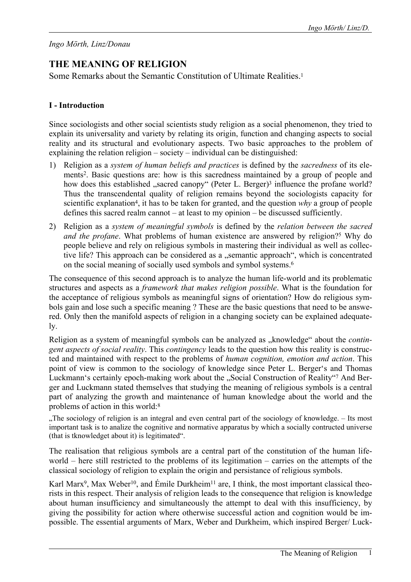# *Ingo Mörth, Linz/Donau*

# **THE MEANING OF RELIGION**

Some Remarks about the Semantic Constitution of Ultimate Realities[.1](#page-10-0) 

# **I - Introduction**

Since sociologists and other social scientists study religion as a social phenomenon, they tried to explain its universality and variety by relating its origin, function and changing aspects to social reality and its structural and evolutionary aspects. Two basic approaches to the problem of explaining the relation religion – society – individual can be distinguished:

- 1) Religion as a *system of human beliefs and practices* is defined by the *sacredness* of its elements[2.](#page-10-1) Basic questions are: how is this sacredness maintained by a group of people and how does this established "sacred canopy" (Peter L. Berger)<sup>3</sup> influence the profane world? Thus the transcendental quality of religion remains beyond the sociologists capacity for scientific explanation<sup>4</sup>, it has to be taken for granted, and the question *why* a group of people defines this sacred realm cannot – at least to my opinion – be discussed sufficiently.
- 2) Religion as a *system of meaningful symbols* is defined by the *relation between the sacred and the profane*. What problems of human existence are answered by religion?<sup>5</sup> Why do people believe and rely on religious symbols in mastering their individual as well as collective life? This approach can be considered as a "semantic approach", which is concentrated on the social meaning of socially used symbols and symbol systems[.6](#page-10-5)

The consequence of this second approach is to analyze the human life-world and its problematic structures and aspects as a *framework that makes religion possible*. What is the foundation for the acceptance of religious symbols as meaningful signs of orientation? How do religious symbols gain and lose such a specific meaning ? These are the basic questions that need to be answered. Only then the manifold aspects of religion in a changing society can be explained adequately.

Religion as a system of meaningful symbols can be analyzed as "knowledge" about the *contingent aspects of social reality*. This *contingency* leads to the question how this reality is constructed and maintained with respect to the problems of *human cognition, emotion and action*. This point of view is common to the sociology of knowledge since Peter L. Berger's and Thomas Luckmann's certainly epoch-making work about the "Social Construction of Reality["7](#page-10-6) And Berger and Luckmann stated themselves that studying the meaning of religious symbols is a central part of analyzing the growth and maintenance of human knowledge about the world and the problems of action in this world[:8](#page-10-7)

"The sociology of religion is an integral and even central part of the sociology of knowledge. – Its most important task is to analize the cognitive and normative apparatus by which a socially contructed universe (that is tknowledget about it) is legitimated".

The realisation that religious symbols are a central part of the constitution of the human lifeworld – here still restricted to the problems of its legitimation – carries on the attempts of the classical sociology of religion to explain the origin and persistance of religious symbols.

Karl Marx<sup>9</sup>, Max Weber<sup>10</sup>, and Émile Durkheim<sup>11</sup> are, I think, the most important classical theorists in this respect. Their analysis of religion leads to the consequence that religion is knowledge about human insufficiency and simultaneously the attempt to deal with this insufficiency, by giving the possibility for action where otherwise successful action and cognition would be impossible. The essential arguments of Marx, Weber and Durkheim, which inspired Berger/ Luck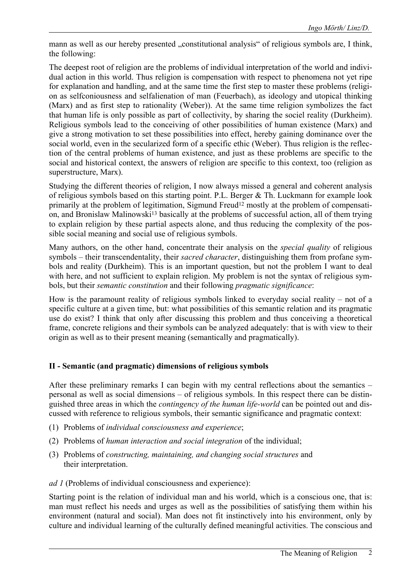mann as well as our hereby presented "constitutional analysis" of religious symbols are, I think, the following:

The deepest root of religion are the problems of individual interpretation of the world and individual action in this world. Thus religion is compensation with respect to phenomena not yet ripe for explanation and handling, and at the same time the first step to master these problems (religion as selfconiousness and selfalienation of man (Feuerbach), as ideology and utopical thinking (Marx) and as first step to rationality (Weber)). At the same time religion symbolizes the fact that human life is only possible as part of collectivity, by sharing the sociel reality (Durkheim). Religious symbols lead to the conceiving of other possibilities of human existence (Marx) and give a strong motivation to set these possibilities into effect, hereby gaining dominance over the social world, even in the secularized form of a specific ethic (Weber). Thus religion is the reflection of the central problems of human existence, and just as these problems are specific to the social and historical context, the answers of religion are specific to this context, too (religion as superstructure, Marx).

Studying the different theories of religion, I now always missed a general and coherent analysis of religious symbols based on this starting point. P.L. Berger & Th. Luckmann for example look primarily at the problem of legitimation, Sigmund Freud<sup>12</sup> mostly at the problem of compensation, and Bronislaw Malinowski<sup>13</sup> basically at the problems of successful action, all of them trying to explain religion by these partial aspects alone, and thus reducing the complexity of the possible social meaning and social use of religious symbols.

Many authors, on the other hand, concentrate their analysis on the *special quality* of religious symbols – their transcendentality, their *sacred character*, distinguishing them from profane symbols and reality (Durkheim). This is an important question, but not the problem I want to deal with here, and not sufficient to explain religion. My problem is not the syntax of religious symbols, but their *semantic constitution* and their following *pragmatic significance*:

How is the paramount reality of religious symbols linked to everyday social reality – not of a specific culture at a given time, but: what possibilities of this semantic relation and its pragmatic use do exist? I think that only after discussing this problem and thus conceiving a theoretical frame, concrete religions and their symbols can be analyzed adequately: that is with view to their origin as well as to their present meaning (semantically and pragmatically).

# **II - Semantic (and pragmatic) dimensions of religious symbols**

After these preliminary remarks I can begin with my central reflections about the semantics – personal as well as social dimensions – of religious symbols. In this respect there can be distinguished three areas in which the *contingency of the human life-world* can be pointed out and discussed with reference to religious symbols, their semantic significance and pragmatic context:

- (1) Problems of *individual consciousness and experience*;
- (2) Problems of *human interaction and social integration* of the individual;
- (3) Problems of *constructing, maintaining, and changing social structures* and their interpretation.
- *ad 1* (Problems of individual consciousness and experience):

Starting point is the relation of individual man and his world, which is a conscious one, that is: man must reflect his needs and urges as well as the possibilities of satisfying them within his environment (natural and social). Man does not fit instinctively into his environment, only by culture and individual learning of the culturally defined meaningful activities. The conscious and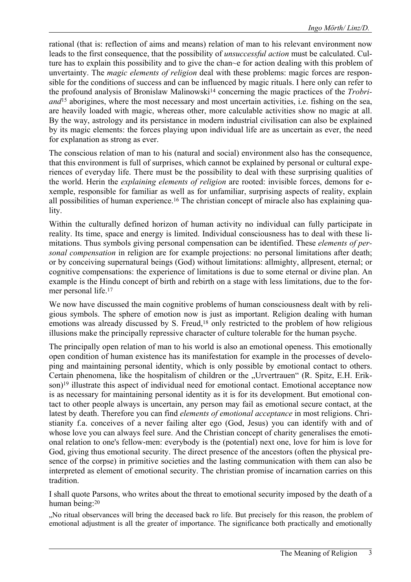rational (that is: reflection of aims and means) relation of man to his relevant environment now leads to the first consequence, that the possibility of *unsuccessful action* must be calculated. Culture has to explain this possibility and to give the chan~e for action dealing with this problem of unvertainty. The *magic elements of religion* deal with these problems: magic forces are responsible for the conditions of success and can be influenced by magic rituals. I here only can refer to the profound analysis of Bronislaw Malinowsk[i14](#page-10-11) concerning the magic practices of the *Trobriand*<sup>15</sup> aborigines, where the most necessary and most uncertain activities, i.e. fishing on the sea, are heavily loaded with magic, whereas other, more calculable activities show no magic at all. By the way, astrology and its persistance in modern industrial civilisation can also be explained by its magic elements: the forces playing upon individual life are as uncertain as ever, the need for explanation as strong as ever.

The conscious relation of man to his (natural and social) environment also has the consequence, that this environment is full of surprises, which cannot be explained by personal or cultural experiences of everyday life. There must be the possibility to deal with these surprising qualities of the world. Herin the *explaining elements of religion* are rooted: invisible forces, demons for exemple, responsible for familiar as well as for unfamiliar, surprising aspects of reality, explain all possibilities of human experience[.16](#page-10-13) The christian concept of miracle also has explaining quality.

Within the culturally defined horizon of human activity no individual can fully participate in reality. Its time, space and energy is limited. Individual consciousness has to deal with these limitations. Thus symbols giving personal compensation can be identified. These *elements of personal compensation* in religion are for example projections: no personal limitations after death; or by conceiving supernatural beings (God) without limitations: allmighty, allpresent, eternal; or cognitive compensations: the experience of limitations is due to some eternal or divine plan. An example is the Hindu concept of birth and rebirth on a stage with less limitations, due to the former personal life[.17](#page-10-14)

We now have discussed the main cognitive problems of human consciousness dealt with by religious symbols. The sphere of emotion now is just as important. Religion dealing with human emotions was already discussed by S. Freud,<sup>18</sup> only restricted to the problem of how religious illusions make the principally repressive character of culture tolerable for the human psyche.

The principally open relation of man to his world is also an emotional openess. This emotionally open condition of human existence has its manifestation for example in the processes of developing and maintaining personal identity, which is only possible by emotional contact to others. Certain phenomena, like the hospitalism of children or the "Urvertrauen" (R. Spitz, E.H. Erikson)<sup>19</sup> illustrate this aspect of individual need for emotional contact. Emotional acceptance now is as necessary for maintaining personal identity as it is for its development. But emotional contact to other people always is uncertain, any person may fail as emotional secure contact, at the latest by death. Therefore you can find *elements of emotional acceptance* in most religions. Christianity f.a. conceives of a never failing alter ego (God, Jesus) you can identify with and of whose love you can always feel sure. And the Christian concept of charity generalises the emotional relation to one's fellow-men: everybody is the (potential) next one, love for him is love for God, giving thus emotional security. The direct presence of the ancestors (often the physical presence of the corpse) in primitive societies and the lasting communication with them can also be interpreted as element of emotional security. The christian promise of incarnation carries on this tradition.

I shall quote Parsons, who writes about the threat to emotional security imposed by the death of a human being[:20](#page-10-17)

"No ritual observances will bring the deceased back ro life. But precisely for this reason, the problem of emotional adjustment is all the greater of importance. The significance both practically and emotionally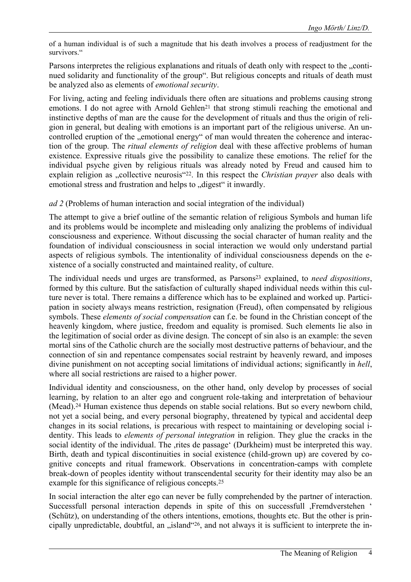of a human individual is of such a magnitude that his death involves a process of readjustment for the survivors."

Parsons interpretes the religious explanations and rituals of death only with respect to the "continued solidarity and functionality of the group". But religious concepts and rituals of death must be analyzed also as elements of *emotional security*.

For living, acting and feeling individuals there often are situations and problems causing strong emotions. I do not agree with Arnold Gehlen<sup>21</sup> that strong stimuli reaching the emotional and instinctive depths of man are the cause for the development of rituals and thus the origin of religion in general, but dealing with emotions is an important part of the religious universe. An uncontrolled eruption of the "emotional energy" of man would threaten the coherence and interaction of the group. The *ritual elements of religion* deal with these affective problems of human existence. Expressive rituals give the possibility to canalize these emotions. The relief for the individual psyche given by religious rituals was already noted by Freud and caused him to explain religion as "collective neurosis"<sup>22</sup>. In this respect the *Christian prayer* also deals with emotional stress and frustration and helps to "digest" it inwardly.

*ad 2* (Problems of human interaction and social integration of the individual)

The attempt to give a brief outline of the semantic relation of religious Symbols and human life and its problems would be incomplete and misleading only analizing the problems of individual consciousness and experience. Without discussing the social character of human reality and the foundation of individual consciousness in social interaction we would only understand partial aspects of religious symbols. The intentionality of individual consciousness depends on the existence of a socially constructed and maintained reality, of culture.

The individual needs und urges are transformed, as Parsons[23](#page-10-19) explained, to *need dispositions*, formed by this culture. But the satisfaction of culturally shaped individual needs within this culture never is total. There remains a difference which has to be explained and worked up. Participation in society always means restriction, resignation (Freud), often compensated by religious symbols. These *elements of social compensation* can f.e. be found in the Christian concept of the heavenly kingdom, where justice, freedom and equality is promised. Such elements lie also in the legitimation of social order as divine design. The concept of sin also is an example: the seven mortal sins of the Catholic church are the socially most destructive patterns of behaviour, and the connection of sin and repentance compensates social restraint by heavenly reward, and imposes divine punishment on not accepting social limitations of individual actions; significantly in *hell*, where all social restrictions are raised to a higher power.

Individual identity and consciousness, on the other hand, only develop by processes of social learning, by relation to an alter ego and congruent role-taking and interpretation of behaviour (Mead)[.24](#page-10-20) Human existence thus depends on stable social relations. But so every newborn child, not yet a social being, and every personal biography, threatened by typical and accidental deep changes in its social relations, is precarious with respect to maintaining or developing social identity. This leads to *elements of personal integration* in religion. They glue the cracks in the social identity of the individual. The ,rites de passage' (Durkheim) must be interpreted this way. Birth, death and typical discontinuities in social existence (child-grown up) are covered by cognitive concepts and ritual framework. Observations in concentration-camps with complete break-down of peoples identity without transcendental security for their identity may also be an example for this significance of religious concepts[.25](#page-10-21) 

In social interaction the alter ego can never be fully comprehended by the partner of interaction. Successfull personal interaction depends in spite of this on successfull ,Fremdverstehen ' (Schütz), on understanding of the others intentions, emotions, thoughts etc. But the other is principally unpredictable, doubtful, an "island"<sup>26</sup>, and not always it is sufficient to interprete the in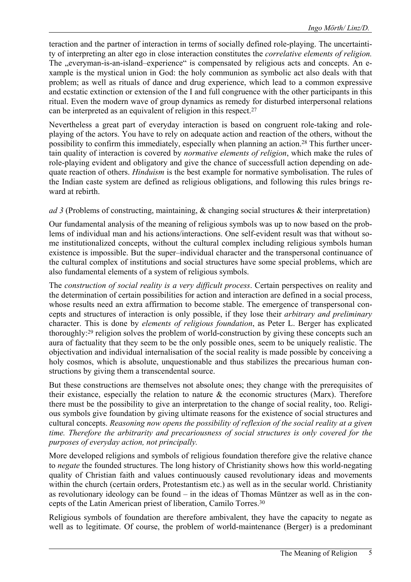teraction and the partner of interaction in terms of socially defined role-playing. The uncertaintity of interpreting an alter ego in close interaction constitutes the *correlative elements of religion.*  The "everyman-is-an-island–experience" is compensated by religious acts and concepts. An example is the mystical union in God: the holy communion as symbolic act also deals with that problem; as well as rituals of dance and drug experience, which lead to a common expressive and ecstatic extinction or extension of the I and full congruence with the other participants in this ritual. Even the modern wave of group dynamics as remedy for disturbed interpersonal relations can be interpreted as an equivalent of religion in this respect[.27](#page-10-23)

Nevertheless a great part of everyday interaction is based on congruent role-taking and roleplaying of the actors. You have to rely on adequate action and reaction of the others, without the possibility to confirm this immediately, especially when planning an action.[28](#page-10-24) This further uncertain quality of interaction is covered by *normative elements of religion*, which make the rules of role-playing evident and obligatory and give the chance of successfull action depending on adequate reaction of others. *Hinduism* is the best example for normative symbolisation. The rules of the Indian caste system are defined as religious obligations, and following this rules brings reward at rebirth.

# *ad 3* (Problems of constructing, maintaining, & changing social structures & their interpretation)

Our fundamental analysis of the meaning of religious symbols was up to now based on the problems of individual man and his actions/interactions. One self-evident result was that without some institutionalized concepts, without the cultural complex including religious symbols human existence is impossible. But the super–individual character and the transpersonal continuance of the cultural complex of institutions and social structures have some special problems, which are also fundamental elements of a system of religious symbols.

The *construction of social reality is a very difficult process*. Certain perspectives on reality and the determination of certain possibilities for action and interaction are defined in a social process, whose results need an extra affirmation to become stable. The emergence of transpersonal concepts and structures of interaction is only possible, if they lose their *arbitrary and preliminary* character. This is done by *elements of religious foundation*, as Peter L. Berger has explicated thoroughly:[29](#page-10-25) religion solves the problem of world-construction by giving these concepts such an aura of factuality that they seem to be the only possible ones, seem to be uniquely realistic. The objectivation and individual internalisation of the social reality is made possible by conceiving a holy cosmos, which is absolute, unquestionable and thus stabilizes the precarious human constructions by giving them a transcendental source.

But these constructions are themselves not absolute ones; they change with the prerequisites of their existance, especially the relation to nature  $\&$  the economic structures (Marx). Therefore there must be the possibility to give an interpretation to the change of social reality, too. Religious symbols give foundation by giving ultimate reasons for the existence of social structures and cultural concepts. *Reasoning now opens the possibility of reflexion of the social reality at a given time. Therefore the arbitrarity and precariousness of social structures is only covered for the purposes of everyday action, not principally.*

More developed religions and symbols of religious foundation therefore give the relative chance to *negate* the founded structures. The long history of Christianity shows how this world-negating quality of Christian faith and values continuously caused revolutionary ideas and movements within the church (certain orders, Protestantism etc.) as well as in the secular world. Christianity as revolutionary ideology can be found – in the ideas of Thomas Müntzer as well as in the concepts of the Latin American priest of liberation, Camilo Torres[.30](#page-10-26)

Religious symbols of foundation are therefore ambivalent, they have the capacity to negate as well as to legitimate. Of course, the problem of world-maintenance (Berger) is a predominant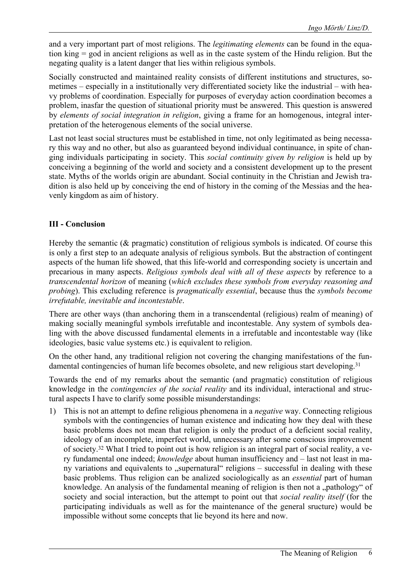and a very important part of most religions. The *legitimating elements* can be found in the equation king = god in ancient religions as well as in the caste system of the Hindu religion. But the negating quality is a latent danger that lies within religious symbols.

Socially constructed and maintained reality consists of different institutions and structures, sometimes – especially in a institutionally very differentiated society like the industrial – with heavy problems of coordination. Especially for purposes of everyday action coordination becomes a problem, inasfar the question of situational priority must be answered. This question is answered by *elements of social integration in religion*, giving a frame for an homogenous, integral interpretation of the heterogenous elements of the social universe.

Last not least social structures must be established in time, not only legitimated as being necessary this way and no other, but also as guaranteed beyond individual continuance, in spite of changing individuals participating in society. This *social continuity given by religion* is held up by conceiving a beginning of the world and society and a consistent development up to the present state. Myths of the worlds origin are abundant. Social continuity in the Christian and Jewish tradition is also held up by conceiving the end of history in the coming of the Messias and the heavenly kingdom as aim of history.

# **III - Conclusion**

Hereby the semantic ( $\&$  pragmatic) constitution of religious symbols is indicated. Of course this is only a first step to an adequate analysis of religious symbols. But the abstraction of contingent aspects of the human life showed, that this life-world and corresponding society is uncertain and precarious in many aspects. *Religious symbols deal with all of these aspects* by reference to a *transcendental horizon* of meaning (*which excludes these symbols from everyday reasoning and probing*). This excluding reference is *pragmatically essential*, because thus the *symbols become irrefutable, inevitable and incontestable*.

There are other ways (than anchoring them in a transcendental (religious) realm of meaning) of making socially meaningful symbols irrefutable and incontestable. Any system of symbols dealing with the above discussed fundamental elements in a irrefutable and incontestable way (like ideologies, basic value systems etc.) is equivalent to religion.

On the other hand, any traditional religion not covering the changing manifestations of the fundamental contingencies of human life becomes obsolete, and new religious start developing.<sup>31</sup>

Towards the end of my remarks about the semantic (and pragmatic) constitution of religious knowledge in the *contingencies of the social reality* and its individual, interactional and structural aspects I have to clarify some possible misunderstandings:

1) This is not an attempt to define religious phenomena in a *negative* way. Connecting religious symbols with the contingencies of human existence and indicating how they deal with these basic problems does not mean that religion is only the product of a deficient social reality, ideology of an incomplete, imperfect world, unnecessary after some conscious improvement of society[.32](#page-10-28) What I tried to point out is how religion is an integral part of social reality, a very fundamental one indeed; *knowledge* about human insufficiency and – last not least in many variations and equivalents to "supernatural" religions – successful in dealing with these basic problems. Thus religion can be analized sociologically as an *essential* part of human knowledge. An analysis of the fundamental meaning of religion is then not a "pathology" of society and social interaction, but the attempt to point out that *social reality itself* (for the participating individuals as well as for the maintenance of the general sructure) would be impossible without some concepts that lie beyond its here and now.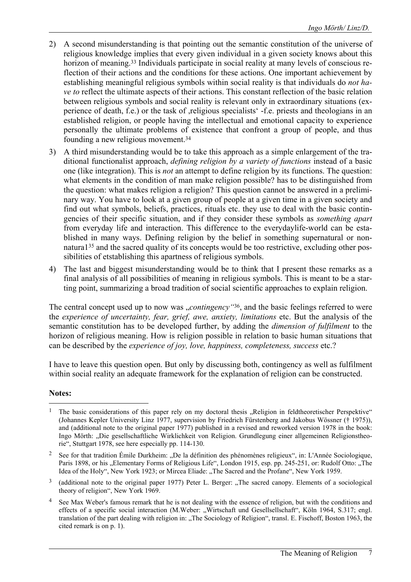- 2) A second misunderstanding is that pointing out the semantic constitution of the universe of religious knowledge implies that every given individual in a given society knows about this horizon of meaning.<sup>33</sup> Individuals participate in social reality at many levels of conscious reflection of their actions and the conditions for these actions. One important achievement by establishing meaningful religious symbols within social reality is that individuals do *not have to* reflect the ultimate aspects of their actions. This constant reflection of the basic relation between religious symbols and social reality is relevant only in extraordinary situations (experience of death, f.e.) or the task of ,religious specialists' -f.e. priests and theologians in an established religion, or people having the intellectual and emotional capacity to experience personally the ultimate problems of existence that confront a group of people, and thus founding a new religious movement[.34](#page-10-30)
- 3) A third misunderstanding would be to take this approach as a simple enlargement of the traditional functionalist approach, *defining religion by a variety of functions* instead of a basic one (like integration). This is *not* an attempt to define religion by its functions. The question: what elements in the condition of man make religion possible? has to be distinguished from the question: what makes religion a religion? This question cannot be answered in a preliminary way. You have to look at a given group of people at a given time in a given society and find out what symbols, beliefs, practices, rituals etc. they use to deal with the basic contingencies of their specific situation, and if they consider these symbols as *something apart* from everyday life and interaction. This difference to the everydaylife-world can be established in many ways. Defining religion by the belief in something supernatural or nonnatura[135](#page-10-31) and the sacred quality of its concepts would be too restrictive, excluding other possibilities of etstablishing this apartness of religious symbols.
- 4) The last and biggest misunderstanding would be to think that I present these remarks as a final analysis of all possibilities of meaning in religious symbols. This is meant to be a starting point, summarizing a broad tradition of social scientific approaches to explain religion.

The central concept used up to now was *"contingency* "<sup>36</sup>, and the basic feelings referred to were the *experience of uncertainty, fear, grief, awe, anxiety, limitations* etc. But the analysis of the semantic constitution has to be developed further, by adding the *dimension of fulfilment* to the horizon of religious meaning. How is religion possible in relation to basic human situations that can be described by the *experience of joy, love, happiness, completeness, success* etc.?

I have to leave this question open. But only by discussing both, contingency as well as fulfilment within social reality an adequate framework for the explanation of religion can be constructed.

# **Notes:**

 $\overline{a}$ 

The basic considerations of this paper rely on my doctoral thesis "Religion in feldtheoretischer Perspektive" (Johannes Kepler University Linz 1977, supervision by Friedrich Fürstenberg and Jakobus Wössner († 1975)), and (additional note to the original paper 1977) published in a revised and reworked version 1978 in the book: Ingo Mörth: "Die gesellschaftliche Wirklichkeit von Religion. Grundlegung einer allgemeinen Religionstheorie", Stuttgart 1978, see here especially pp. 114-130.

<sup>&</sup>lt;sup>2</sup> See for that tradition Émile Durkheim: "De la définition des phénomènes religieux", in: L'Année Sociologique, Paris 1898, or his "Elementary Forms of Religious Life", London 1915, esp. pp. 245-251, or: Rudolf Otto: "The Idea of the Holy", New York 1923; or Mircea Eliade: "The Sacred and the Profane", New York 1959.

<sup>&</sup>lt;sup>3</sup> (additional note to the original paper 1977) Peter L. Berger: "The sacred canopy. Elements of a sociological theory of religion", New York 1969.

See Max Weber's famous remark that he is not dealing with the essence of religion, but with the conditions and effects of a specific social interaction (M.Weber: "Wirtschaft und Gesellsellschaft", Köln 1964, S.317; engl. translation of the part dealing with religion in: "The Sociology of Religion", transl. E. Fischoff, Boston 1963, the cited remark is on p. 1).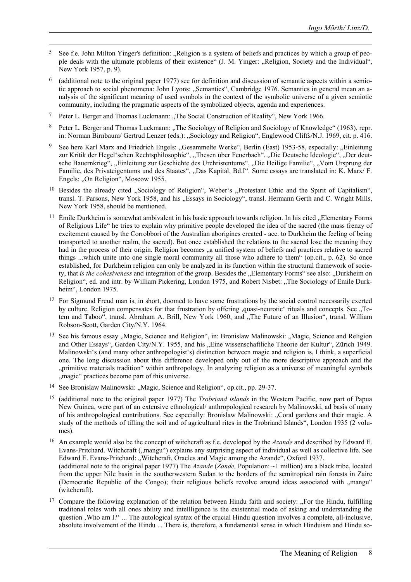- See f.e. John Milton Yinger's definition: "Religion is a system of beliefs and practices by which a group of people deals with the ultimate problems of their existence" (J. M. Yinger: "Religion, Society and the Individual", New York 1957, p. 9).
- 6 (additional note to the original paper 1977) see for definition and discussion of semantic aspects within a semiotic approach to social phenomena: John Lyons: "Semantics", Cambridge 1976. Semantics in general mean an analysis of the significant meaning of used symbols in the context of the symbolic universe of a given semiotic community, including the pragmatic aspects of the symbolized objects, agenda and experiences.
- 7 Peter L. Berger and Thomas Luckmann: "The Social Construction of Reality", New York 1966.
- <sup>8</sup> Peter L. Berger and Thomas Luckmann: "The Sociology of Religion and Sociology of Knowledge" (1963), repr. in: Norman Birnbaum/ Gertrud Lenzer (eds.): "Sociology and Religion", Englewood Cliffs/N.J. 1969, cit. p. 416.
- See here Karl Marx and Friedrich Engels: "Gesammelte Werke", Berlin (East) 1953-58, especially: "Einleitung zur Kritik der Hegel'schen Rechtsphilosophie", "Thesen über Feuerbach", "Die Deutsche Ideologie", "Der deutsche Bauernkrieg", "Einleitung zur Geschichte des Urchristentums", "Die Heilige Familie", "Vom Ursprung der Familie, des Privateigentums und des Staates", "Das Kapital, Bd.I". Some essays are translated in: K. Marx/ F. Engels: "On Religion", Moscow 1955.
- <sup>10</sup> Besides the already cited "Sociology of Religion", Weber's "Protestant Ethic and the Spirit of Capitalism", transl. T. Parsons, New York 1958, and his "Essays in Sociology", transl. Hermann Gerth and C. Wright Mills, New York 1958, should be mentioned.
- $11$  Émile Durkheim is somewhat ambivalent in his basic approach towards religion. In his cited "Elementary Forms of Religious Life" he tries to explain why primitive people developed the idea of the sacred (the mass frenzy of excitement caused by the Corrobbori of the Australian aborigines created - acc. to Durkheim the feeling of being transported to another realm, the sacred). But once established the relations to the sacred lose the meaning they had in the process of their origin. Religion becomes "a unified system of beliefs and practices relative to sacred things ...which unite into one single moral community all those who adhere to them" (op.cit., p. 62). So once established, for Durkheim religion can only be analyzed in its function within the structural framework of society, that *is the cohesiveness* and integration of the group. Besides the "Elementary Forms" see also: "Durkheim on Religion", ed. and intr. by William Pickering, London 1975, and Robert Nisbet: "The Sociology of Emile Durkheim", London 1975.
- <sup>12</sup> For Sigmund Freud man is, in short, doomed to have some frustrations by the social control necessarily exerted by culture. Religion compensates for that frustration by offering ,quasi-neurotic' rituals and concepts. See . Totem and Taboo", transl. Abraham A. Brill, New York 1960, and "The Future of an Illusion", transl. William Robson-Scott, Garden City/N.Y. 1964.
- <sup>13</sup> See his famous essay "Magic, Science and Religion", in: Bronislaw Malinowski: "Magic, Science and Religion and Other Essays", Garden City/N.Y. 1955, and his "Eine wissenschaftliche Theorie der Kultur", Zürich 1949. Malinowski's (and many other anthropologist's) distinction between magic and religion is, I think, a superficial one. The long discussion about this difference developed only out of the more descriptive approach and the "primitive materials tradition" within anthropology. In analyzing religion as a universe of meaningful symbols ... magic " practices become part of this universe.
- <sup>14</sup> See Bronislaw Malinowski: "Magic, Science and Religion", op.cit., pp. 29-37.
- 15 (additional note to the original paper 1977) The *Trobriand islands* in the Western Pacific, now part of Papua New Guinea, were part of an extensive ethnological/ anthropological research by Malinowski, ad basis of many of his anthropological contributions. See especially: Bronislaw Malinowski: "Coral gardens and their magic. A study of the methods of tilling the soil and of agricultural rites in the Trobriand Islands", London 1935 (2 volumes).
- 16 An example would also be the concept of witchcraft as f.e. developed by the *Azande* and described by Edward E. Evans-Pritchard. Witchcraft ("mangu") explains any surprising aspect of individual as well as collective life. See Edward E. Evans-Pritchard: "Witchcraft, Oracles and Magic among the Azande", Oxford 1937. (additional note to the original paper 1977) The *Azande* (*Zande,* Population: ~1 million) are a black tribe, located from the upper Nile basin in the southerwestern Sudan to the borders of the semitropical rain forests in Zaire (Democratic Republic of the Congo); their religious beliefs revolve around ideas associated with "mangu" (witchcraft).
- <sup>17</sup> Compare the following explanation of the relation between Hindu faith and society: "For the Hindu, fulfilling traditonal roles with all ones ability and intellligence is the existential mode of asking and understanding the question , Who am I?' ... The autological syntax of the crucial Hindu question involves a complete, all-inclusive, absolute involvement of the Hindu ... There is, therefore, a fundamental sense in which Hinduism and Hindu so-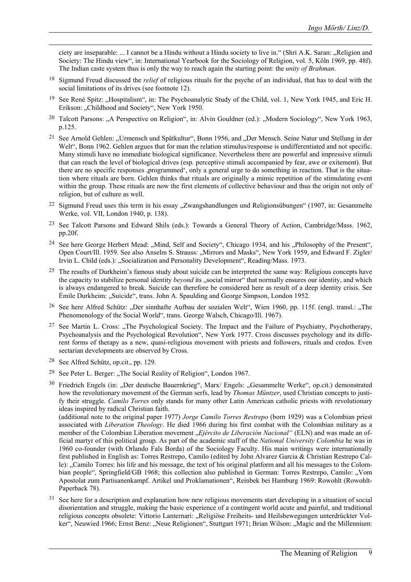ciety are inseparable: ... I cannot be a Hindu without a Hindu society to live in." (Shri A.K. Saran: "Religion and Society: The Hindu view", in: International Yearbook for the Sociology of Religion, vol. 5, Köln 1969, pp. 48f). The Indian caste system thus is only the way to reach again the starting point: the *unity of Brahman*.

- 18 Sigmund Freud discussed the *relief* of religious rituals for the psyche of an individual, that has to deal with the social limitations of its drives (see footnote 12).
- <sup>19</sup> See René Spitz: "Hospitalism", in: The Psychoanalytic Study of the Child, vol. 1, New York 1945, and Eric H. Erikson: "Childhood and Society", New York 1950.
- <sup>20</sup> Talcott Parsons: "A Perspective on Religion", in: Alvin Gouldner (ed.): "Modern Sociology", New York 1963, p.125.
- <sup>21</sup> See Arnold Gehlen: "Urmensch und Spätkultur", Bonn 1956, and "Der Mensch. Seine Natur und Stellung in der Welt", Bonn 1962. Gehlen argues that for man the relation stimulus/response is undifferentiated and not specific. Many stimuli have no immediate biological significance. Nevertheless there are powerful and impressive stimuli that can reach the level of biological drives (esp. perceptive stimuli accompanied by fear, awe or exitement). But there are no specific responses ,programmed', only a general urge to do something in reaction. That is the situation where rituals are born. Gehlen thinks that rituals are originally a mimic repetition of the stimulating event within the group. These rituals are now the first elements of collective behaviour and thus the origin not only of religion, but of culture as well.
- <sup>22</sup> Sigmund Freud uses this term in his essay . Zwangshandlungen und Religionsübungen" (1907, in: Gesammelte Werke, vol. VII, London 1940, p. 138).
- 23 See Talcott Parsons and Edward Shils (eds.): Towards a General Theory of Action, Cambridge/Mass. 1962, pp.20f.
- <sup>24</sup> See here George Herbert Mead: "Mind, Self and Society", Chicago 1934, and his "Philosophy of the Present", Open Court/Ill. 1959. See also Anselm S. Strauss: "Mirrors and Masks", New York 1959, and Edward F. Zigler/ Irvin L. Child (eds.): "Socialization and Personality Development", Reading/Mass. 1973.
- <sup>25</sup> The results of Durkheim's famous study about suicide can be interpreted the same way: Religious concepts have the capacity to stabilize personal identity *beyond* its "social mirror" that normally ensures our identity, and which is always endangered to break. Suicide can therefore be considered here as result of a deep identity crisis. See Émile Durkheim: "Suicide", trans. John A. Spaulding and George Simpson, London 1952.
- <sup>26</sup> See here Alfred Schütz: "Der sinnhafte Aufbau der sozialen Welt", Wien 1960, pp. 115f. (engl. transl.: "The Phenomenology of the Social World", trans. George Walsch, Chicago/Ill. 1967).
- <sup>27</sup> See Martin L. Cross: "The Psychological Society. The Impact and the Failure of Psychiatry, Psychotherapy, Psychoanalysis and the Psychological Revolution", New York 1977. Cross discusses psychology and its different forms of therapy as a new, quasi-religious movement with priests and followers, rituals and credos. Even sectarian developments are observed by Cross.
- 28 See Alfred Schütz, op.cit., pp. 129.
- <sup>29</sup> See Peter L. Berger: "The Social Reality of Religion", London 1967.
- <sup>30</sup> Friedrich Engels (in: "Der deutsche Bauernkrieg", Marx/ Engels: "Gesammelte Werke", op.cit.) demonstrated how the revolutionary movement of the German serfs, lead by *Thomas Müntzer*, used Christian concepts to justify their struggle. *Camilo Torres* only stands for many other Latin American catholic priests with revolutionary ideas inspired by radical Christian faith.

(additional note to the original paper 1977) *Jorge Camilo Torres Restrepo* (born 1929) was a Colombian priest associated with *Liberation Theology*. He died 1966 during his first combat with the Colombian military as a member of the Colombian Liberation movement *"Ejército de Liberación Nacional*" (ELN) and was made an official martyr of this political group. As part of the academic staff of the *National University Colombia* he was in 1960 co-founder (with Orlando Fals Borda) of the Sociology Faculty. His main writings were internationally first published in English as: Torres Restrepo, Camilo (edited by John Alvarez Garcia & Christian Restrepo Calle): "Camilo Torres: his life and his message, the text of his original platform and all his messages to the Colombian people", Springfield/GB 1968; this collection also published in German: Torres Restrepo, Camilo: "Vom Apostolat zum Partisanenkampf. Artikel und Proklamationen", Reinbek bei Hamburg 1969: Rowohlt (Rowohlt-Paperback 78).

<sup>31</sup> See here for a description and explanation how new religious movements start developing in a situation of social disorientation and struggle, making the basic experience of a contingent world acute and painful, and traditional religious concepts obsolete: Vittorio Lanternari: "Religiöse Freiheits- und Heilsbewegungen unterdrückter Volker", Neuwied 1966; Ernst Benz: "Neue Religionen", Stuttgart 1971; Brian Wilson: "Magic and the Millennium: